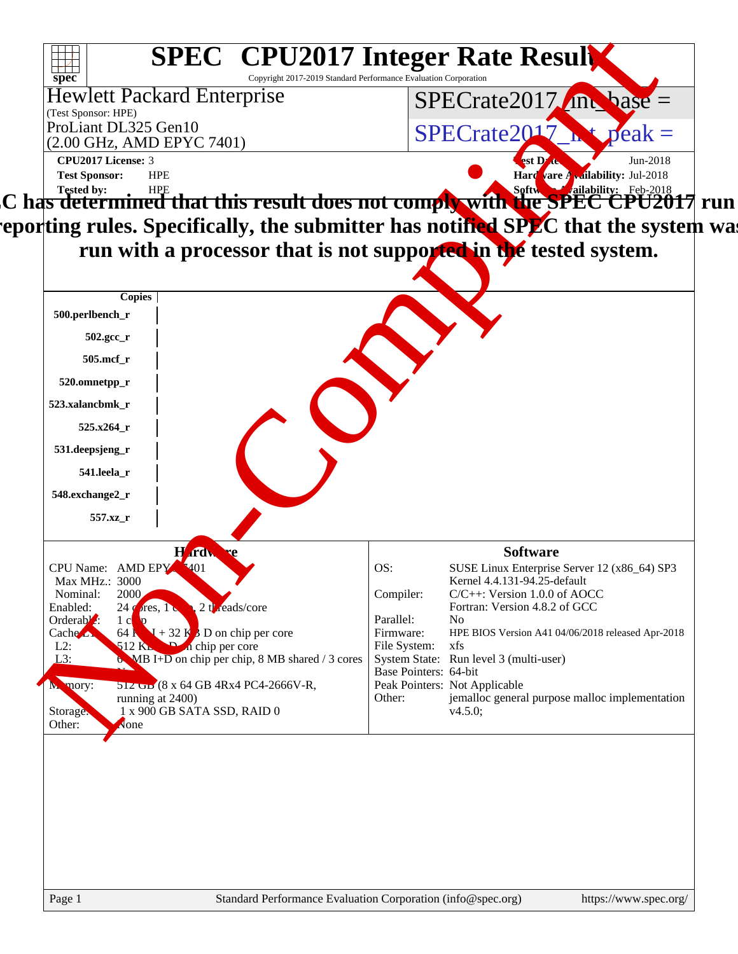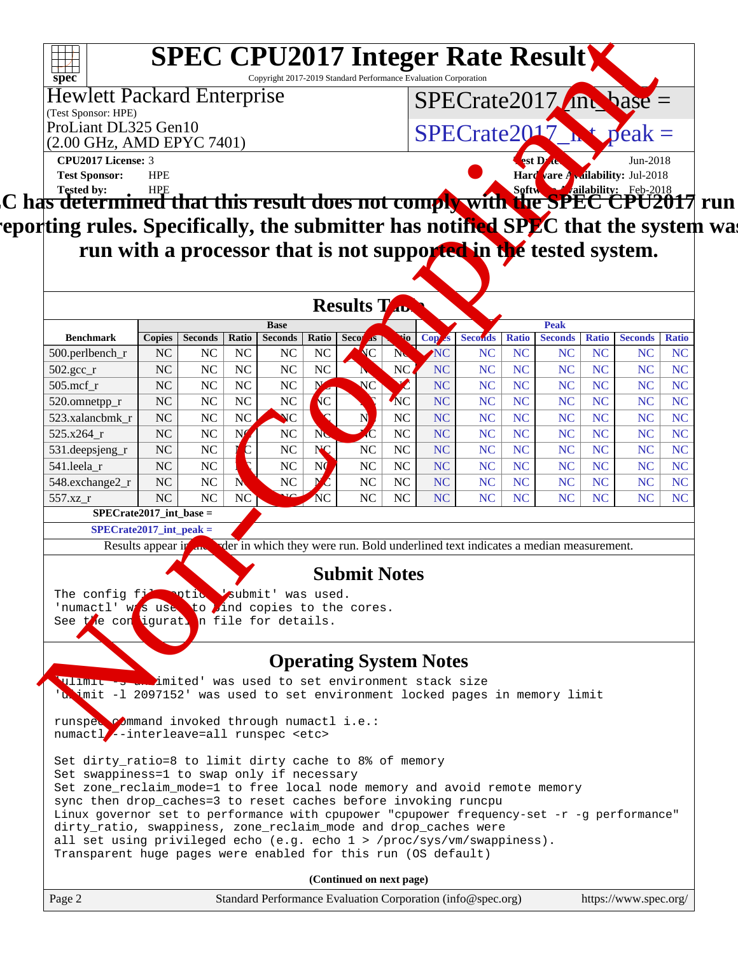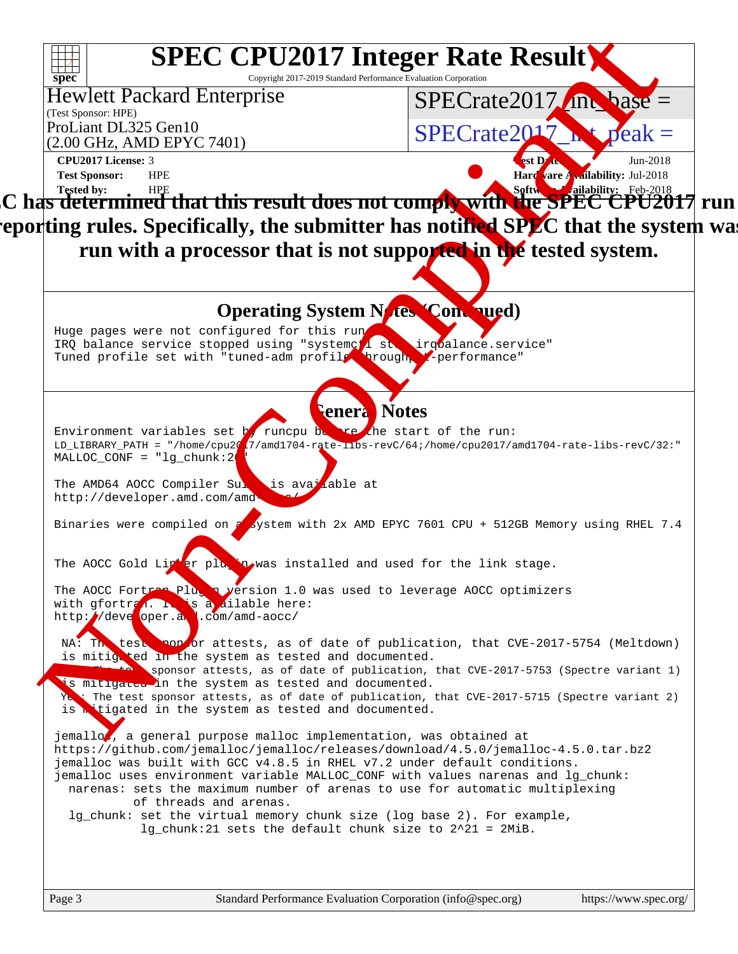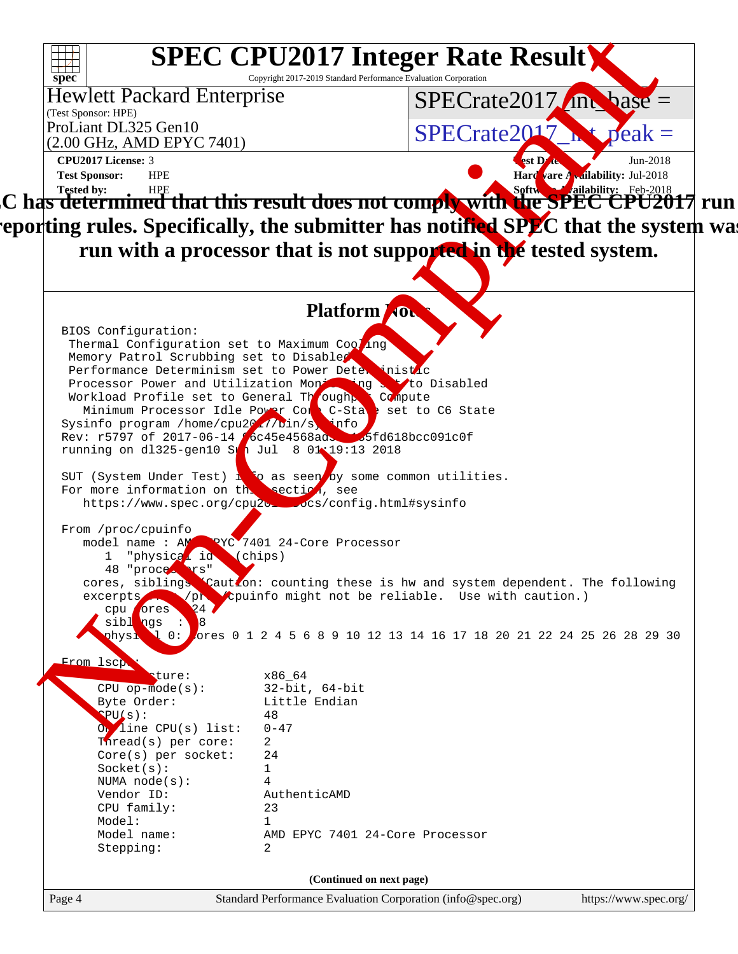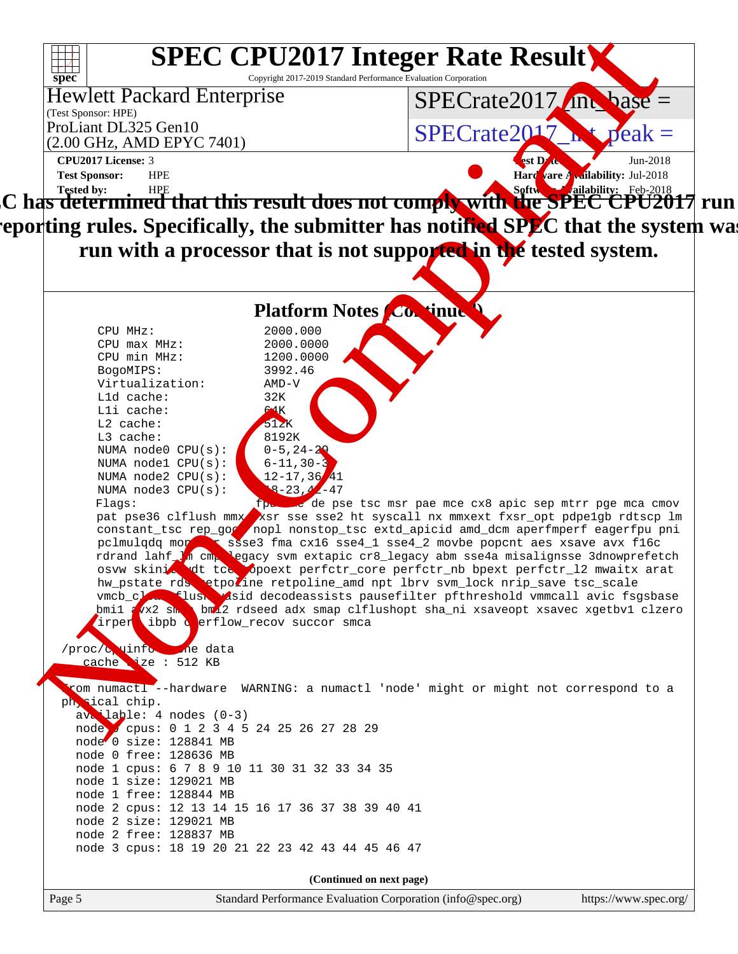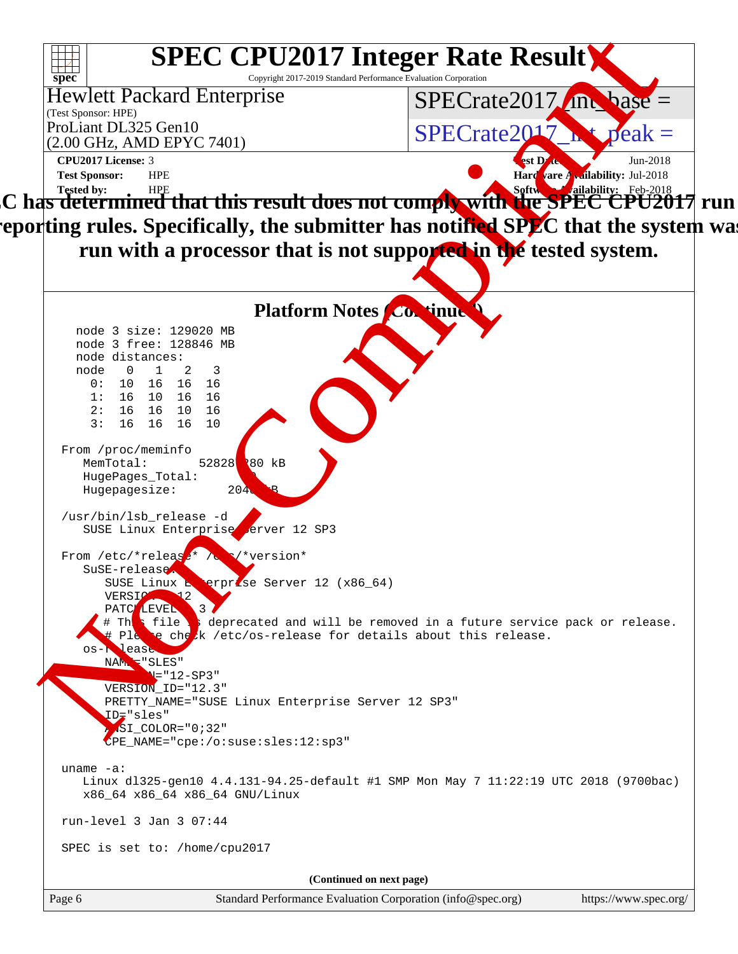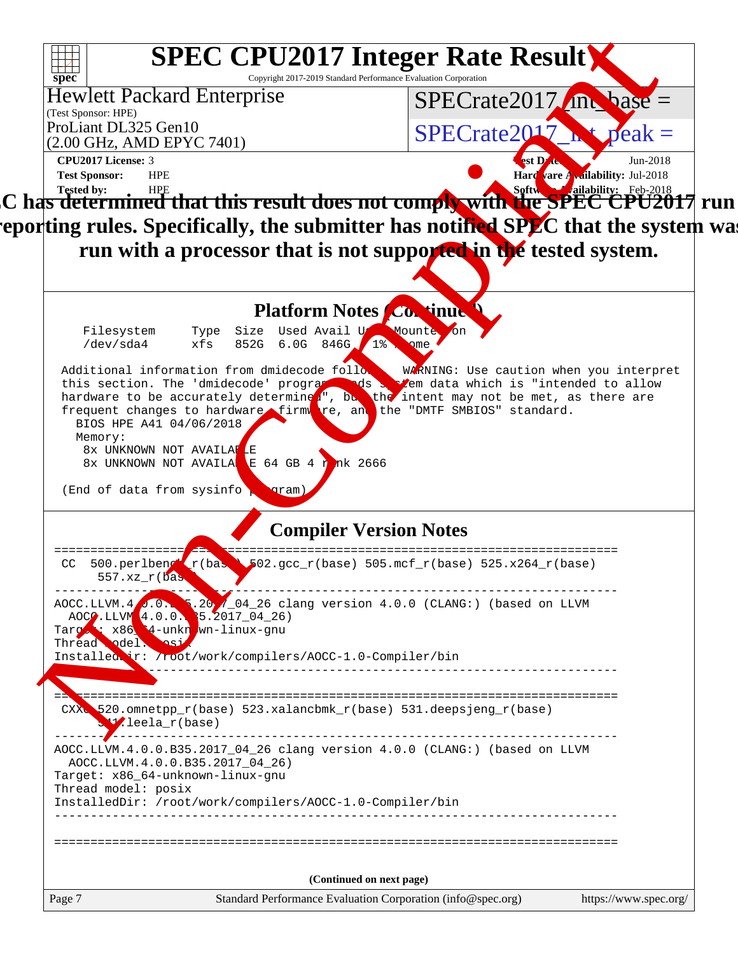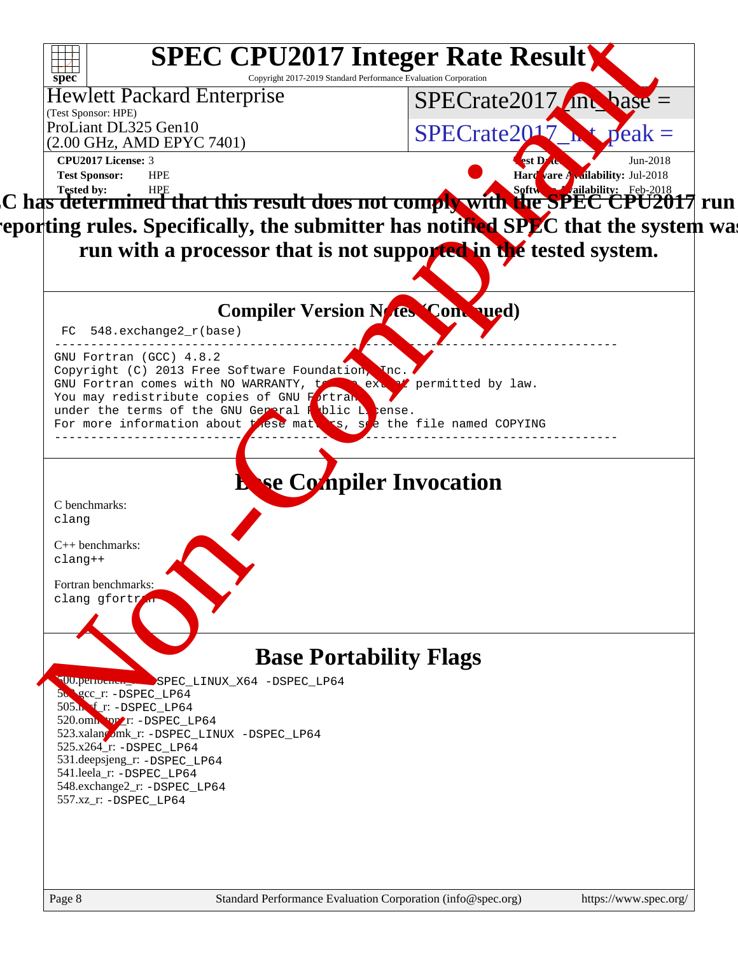